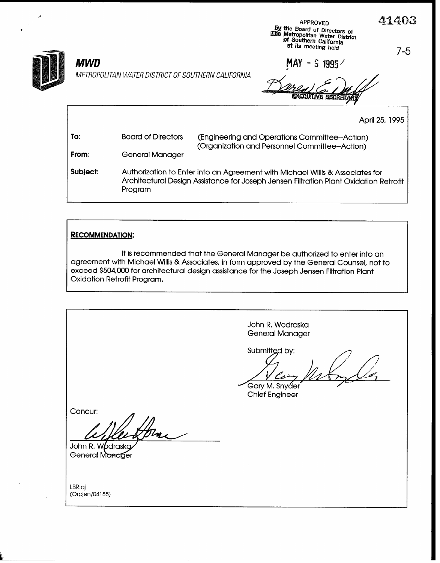APPROVED  $\mathcal{L}_x$  **A** 

 $MWD$   $MAY - S$  1995 METROPOLITAN WATER DISTRICT OF SOUTHERN CALIFORNIA

\* !X me Board of Directors of ib jktropofitan Water District

Qf Sputhern California at Its meeting held 7-5

April 25, 1995

| To:      | <b>Board of Directors</b> | (Engineering and Operations Committee--Action)<br>(Organization and Personnel Committee--Action)                                                                       |  |  |  |  |
|----------|---------------------------|------------------------------------------------------------------------------------------------------------------------------------------------------------------------|--|--|--|--|
| From:    | General Manager           |                                                                                                                                                                        |  |  |  |  |
| Subject: | Program                   | Authorization to Enter into an Agreement with Michael Willis & Associates for<br>Architectural Design Assistance for Joseph Jensen Filtration Plant Oxidation Retrofit |  |  |  |  |

#### RECOMMENDATION:

It is recommended that the General Manager be authorized to enter into an agreement with Michael Willis & Associates, in form approved by the General Counsel, not to exceed \$504,000 for architectural design assistance for the Joseph Jensen Filtration Plant Oxidation Retrofit Program,

John R. Wodraska General Manager Submitted by: Gary M. Snyɗer Chief Engineer Concur: John R. Wodraska General Manager LBR:aj (OrpjenD4185)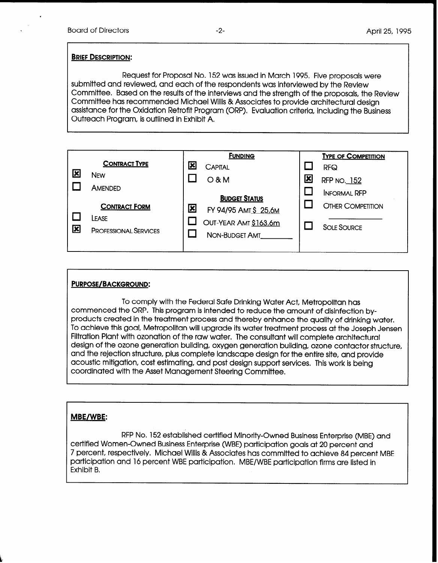#### BRIEF DESCRIPTION:

Request for Proposal No. 152 was issued in March 1995. Five proposals were submitted and reviewed, and each of the respondents was interviewed by the Review Committee. Based on the results of the interviews and the strength of the proposals, the Review Committee has recommended Michael Willis & Associates to provide architectural design assistance for the Oxidation Retrofit Program (ORP). Evaluation criteria, including the Business Outreach Program, is outlined in Exhibit A.

|   |                                                               |                         | <b>FUNDING</b>                                 |  | <b>TYPE OF COMPETITION</b> |
|---|---------------------------------------------------------------|-------------------------|------------------------------------------------|--|----------------------------|
|   | <b>CONTRACT TYPE</b>                                          | 図                       | <b>CAPITAL</b>                                 |  | <b>RFQ</b>                 |
| ⊠ | <b>NEW</b><br>AMENDED                                         |                         | 区<br>$O$ & M                                   |  | RFP NO. 152                |
|   |                                                               |                         |                                                |  | <b>INFORMAL RFP</b>        |
|   |                                                               |                         | <b>BUDGET STATUS</b>                           |  | <b>OTHER COMPETITION</b>   |
| 図 | <b>CONTRACT FORM</b><br>LEASE<br><b>PROFESSIONAL SERVICES</b> | $\overline{\mathbf{x}}$ | FY 94/95 AMT \$ 25.6M<br>OUT-YEAR AMT \$163.6m |  |                            |
|   |                                                               |                         |                                                |  | <b>SOLE SOURCE</b>         |
|   |                                                               |                         | NON-BUDGET AMT                                 |  |                            |
|   |                                                               |                         |                                                |  |                            |

#### PURPOSE/BACKGROUND:

To comply with the Federal Safe Drinking Water Act, Metropolitan has commenced the ORP. This program is intended to reduce the amount of disinfection byproducts created in the treatment process and thereby enhance the quality of drinking water, To achieve this goal, Metropolitan will upgrade its water treatment process at the Joseph Jensen Filtration Plant with ozonation of the raw water. The consultant will complete architectural design of the ozone generation building, oxygen generation building, ozone contactor structure, and the rejection structure, plus complete landscape design for the entire site, and provide acoustic mitigation, cost estimating, and post design support services. This work is being coordinated with the Asset Management Steering Committee,

### MBE/WBE:

RFP No. 152 established certified Minority-Owned Business Enterprise (MBE) and certified Women-Owned Business Enterprise (WBE) participation goals at 20 percent and 7 percent, respectively, Michael Willis & Associates has committed to achieve 84 percent MBE participation and 16 percent WBE participation. MBE/WBE participation firms are listed in Exhibit B.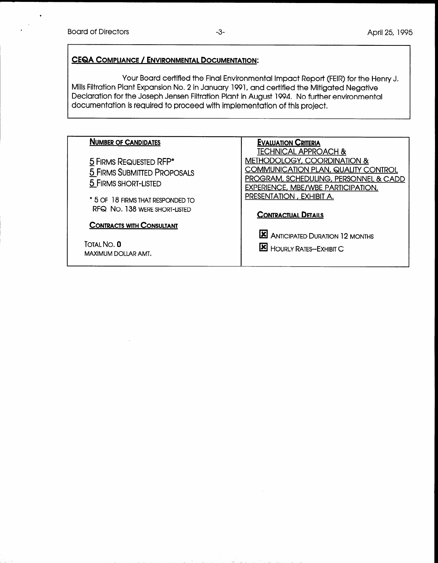## CEQA COMPLIANCE / ENVIRONMENTAL DOCUMENTATION:

Your Board certified the Final Environmental Impact Report (FEIR) for the Henry J. Mills Filtration Plant Expansion No. 2 in January 1991, and certified the Mitigated Negative Declaration for the Joseph Jensen Filtration Plant in August 1994. No further environmental documentation is required to proceed with implementation of this project.

| <b>NUMBER OF CANDIDATES</b>        | <b>EVALUATION CRITERIA</b>                 |
|------------------------------------|--------------------------------------------|
|                                    | <b>TECHNICAL APPROACH &amp;</b>            |
| 5 FIRMS REQUESTED RFP*             | <b>METHODOLOGY, COORDINATION &amp;</b>     |
| <b>5 FIRMS SUBMITTED PROPOSALS</b> | <b>COMMUNICATION PLAN, QUALITY CONTROL</b> |
| 5 FIRMS SHORT-LISTED               | PROGRAM, SCHEDULING, PERSONNEL & CADD      |
|                                    | <b>EXPERIENCE, MBE/WBE PARTICIPATION,</b>  |
| $*5$ of 18 firms that responded to | PRESENTATION, EXHIBIT A.                   |
| RFQ NO. 138 WERE SHORT-LISTED      | <b>CONTRACTUAL DETAILS</b>                 |
| <b>CONTRACTS WITH CONSULTANT</b>   |                                            |
|                                    | <b>X</b> ANTICIPATED DURATION 12 MONTHS    |
| TOTAL NO. 0                        |                                            |
| MAXIMUM DOLLAR AMT.                | <b>E</b> HOURLY RATES-EXHIBIT C            |
|                                    |                                            |

,\_\_ . -; ;. '..&<d.eT \$-t \_\_ , .-I ..: :.- : \_ .5 \_ .- -~ . -- ,> -;Le ..:- \_\_.. >2. .,:zv \_, ,Y\*& ~+s7~r,z:l \_ . \_\_ :.---,